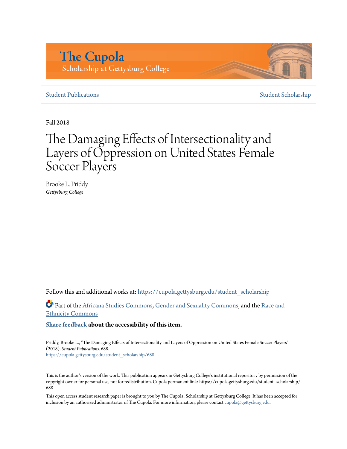# **The Cupola** Scholarship at Gettysburg College

## **[Student Publications](https://cupola.gettysburg.edu/student_scholarship?utm_source=cupola.gettysburg.edu%2Fstudent_scholarship%2F688&utm_medium=PDF&utm_campaign=PDFCoverPages)** [Student Scholarship](https://cupola.gettysburg.edu/student?utm_source=cupola.gettysburg.edu%2Fstudent_scholarship%2F688&utm_medium=PDF&utm_campaign=PDFCoverPages)

Fall 2018

# The Damaging Effects of Intersectionality and Layers of Oppression on United States Female Soccer Players

Brooke L. Priddy *Gettysburg College*

Follow this and additional works at: [https://cupola.gettysburg.edu/student\\_scholarship](https://cupola.gettysburg.edu/student_scholarship?utm_source=cupola.gettysburg.edu%2Fstudent_scholarship%2F688&utm_medium=PDF&utm_campaign=PDFCoverPages)

Part of the [Africana Studies Commons](http://network.bepress.com/hgg/discipline/1418?utm_source=cupola.gettysburg.edu%2Fstudent_scholarship%2F688&utm_medium=PDF&utm_campaign=PDFCoverPages), [Gender and Sexuality Commons,](http://network.bepress.com/hgg/discipline/420?utm_source=cupola.gettysburg.edu%2Fstudent_scholarship%2F688&utm_medium=PDF&utm_campaign=PDFCoverPages) and the [Race and](http://network.bepress.com/hgg/discipline/426?utm_source=cupola.gettysburg.edu%2Fstudent_scholarship%2F688&utm_medium=PDF&utm_campaign=PDFCoverPages) [Ethnicity Commons](http://network.bepress.com/hgg/discipline/426?utm_source=cupola.gettysburg.edu%2Fstudent_scholarship%2F688&utm_medium=PDF&utm_campaign=PDFCoverPages)

**[Share feedback](https://docs.google.com/a/bepress.com/forms/d/1h9eEcpBPj5POs5oO6Y5A0blXRmZqykoonyYiZUNyEq8/viewform) about the accessibility of this item.**

Priddy, Brooke L., "The Damaging Effects of Intersectionality and Layers of Oppression on United States Female Soccer Players" (2018). *Student Publications*. 688.

[https://cupola.gettysburg.edu/student\\_scholarship/688](https://cupola.gettysburg.edu/student_scholarship/688?utm_source=cupola.gettysburg.edu%2Fstudent_scholarship%2F688&utm_medium=PDF&utm_campaign=PDFCoverPages)

This is the author's version of the work. This publication appears in Gettysburg College's institutional repository by permission of the copyright owner for personal use, not for redistribution. Cupola permanent link: https://cupola.gettysburg.edu/student\_scholarship/ 688

This open access student research paper is brought to you by The Cupola: Scholarship at Gettysburg College. It has been accepted for inclusion by an authorized administrator of The Cupola. For more information, please contact [cupola@gettysburg.edu.](mailto:cupola@gettysburg.edu)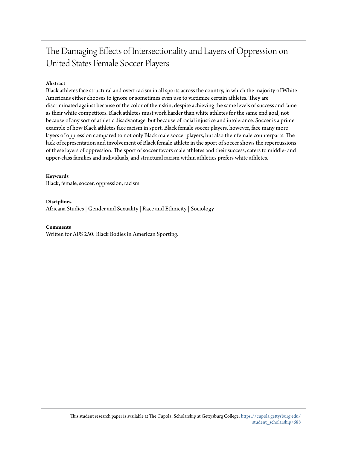# The Damaging Effects of Intersectionality and Layers of Oppression on United States Female Soccer Players

### **Abstract**

Black athletes face structural and overt racism in all sports across the country, in which the majority of White Americans either chooses to ignore or sometimes even use to victimize certain athletes. They are discriminated against because of the color of their skin, despite achieving the same levels of success and fame as their white competitors. Black athletes must work harder than white athletes for the same end goal, not because of any sort of athletic disadvantage, but because of racial injustice and intolerance. Soccer is a prime example of how Black athletes face racism in sport. Black female soccer players, however, face many more layers of oppression compared to not only Black male soccer players, but also their female counterparts. The lack of representation and involvement of Black female athlete in the sport of soccer shows the repercussions of these layers of oppression. The sport of soccer favors male athletes and their success, caters to middle- and upper-class families and individuals, and structural racism within athletics prefers white athletes.

#### **Keywords**

Black, female, soccer, oppression, racism

#### **Disciplines**

Africana Studies | Gender and Sexuality | Race and Ethnicity | Sociology

#### **Comments**

Written for AFS 250: Black Bodies in American Sporting.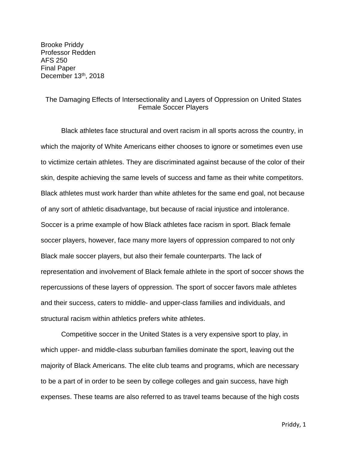Brooke Priddy Professor Redden AFS 250 Final Paper December 13th, 2018

# The Damaging Effects of Intersectionality and Layers of Oppression on United States Female Soccer Players

Black athletes face structural and overt racism in all sports across the country, in which the majority of White Americans either chooses to ignore or sometimes even use to victimize certain athletes. They are discriminated against because of the color of their skin, despite achieving the same levels of success and fame as their white competitors. Black athletes must work harder than white athletes for the same end goal, not because of any sort of athletic disadvantage, but because of racial injustice and intolerance. Soccer is a prime example of how Black athletes face racism in sport. Black female soccer players, however, face many more layers of oppression compared to not only Black male soccer players, but also their female counterparts. The lack of representation and involvement of Black female athlete in the sport of soccer shows the repercussions of these layers of oppression. The sport of soccer favors male athletes and their success, caters to middle- and upper-class families and individuals, and structural racism within athletics prefers white athletes.

Competitive soccer in the United States is a very expensive sport to play, in which upper- and middle-class suburban families dominate the sport, leaving out the majority of Black Americans. The elite club teams and programs, which are necessary to be a part of in order to be seen by college colleges and gain success, have high expenses. These teams are also referred to as travel teams because of the high costs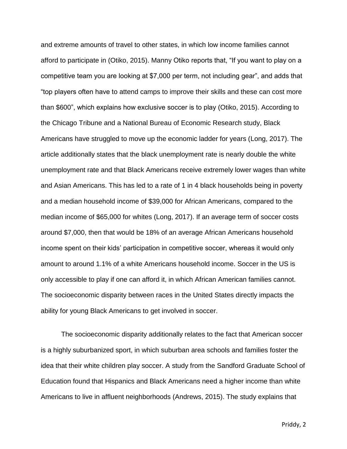and extreme amounts of travel to other states, in which low income families cannot afford to participate in (Otiko, 2015). Manny Otiko reports that, "If you want to play on a competitive team you are looking at \$7,000 per term, not including gear", and adds that "top players often have to attend camps to improve their skills and these can cost more than \$600", which explains how exclusive soccer is to play (Otiko, 2015). According to the Chicago Tribune and a National Bureau of Economic Research study, Black Americans have struggled to move up the economic ladder for years (Long, 2017). The article additionally states that the black unemployment rate is nearly double the white unemployment rate and that Black Americans receive extremely lower wages than white and Asian Americans. This has led to a rate of 1 in 4 black households being in poverty and a median household income of \$39,000 for African Americans, compared to the median income of \$65,000 for whites (Long, 2017). If an average term of soccer costs around \$7,000, then that would be 18% of an average African Americans household income spent on their kids' participation in competitive soccer, whereas it would only amount to around 1.1% of a white Americans household income. Soccer in the US is only accessible to play if one can afford it, in which African American families cannot. The socioeconomic disparity between races in the United States directly impacts the ability for young Black Americans to get involved in soccer.

The socioeconomic disparity additionally relates to the fact that American soccer is a highly suburbanized sport, in which suburban area schools and families foster the idea that their white children play soccer. A study from the Sandford Graduate School of Education found that Hispanics and Black Americans need a higher income than white Americans to live in affluent neighborhoods (Andrews, 2015). The study explains that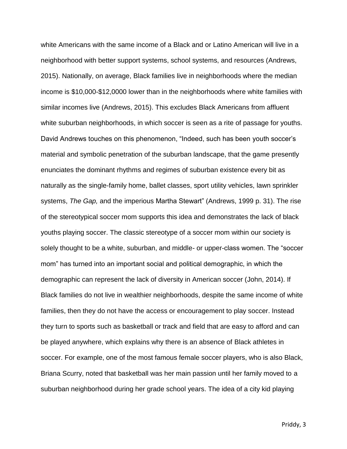white Americans with the same income of a Black and or Latino American will live in a neighborhood with better support systems, school systems, and resources (Andrews, 2015). Nationally, on average, Black families live in neighborhoods where the median income is \$10,000-\$12,0000 lower than in the neighborhoods where white families with similar incomes live (Andrews, 2015). This excludes Black Americans from affluent white suburban neighborhoods, in which soccer is seen as a rite of passage for youths. David Andrews touches on this phenomenon, "Indeed, such has been youth soccer's material and symbolic penetration of the suburban landscape, that the game presently enunciates the dominant rhythms and regimes of suburban existence every bit as naturally as the single-family home, ballet classes, sport utility vehicles, lawn sprinkler systems, *The Gap,* and the imperious Martha Stewart" (Andrews, 1999 p. 31). The rise of the stereotypical soccer mom supports this idea and demonstrates the lack of black youths playing soccer. The classic stereotype of a soccer mom within our society is solely thought to be a white, suburban, and middle- or upper-class women. The "soccer mom" has turned into an important social and political demographic, in which the demographic can represent the lack of diversity in American soccer (John, 2014). If Black families do not live in wealthier neighborhoods, despite the same income of white families, then they do not have the access or encouragement to play soccer. Instead they turn to sports such as basketball or track and field that are easy to afford and can be played anywhere, which explains why there is an absence of Black athletes in soccer. For example, one of the most famous female soccer players, who is also Black, Briana Scurry, noted that basketball was her main passion until her family moved to a suburban neighborhood during her grade school years. The idea of a city kid playing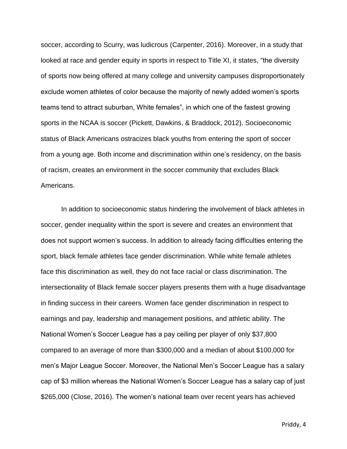soccer, according to Scurry, was ludicrous (Carpenter, 2016). Moreover, in a study that looked at race and gender equity in sports in respect to Title XI, it states, "the diversity of sports now being offered at many college and university campuses disproportionately exclude women athletes of color because the majority of newly added women's sports teams tend to attract suburban, White females", in which one of the fastest growing sports in the NCAA is soccer (Pickett, Dawkins, & Braddock, 2012). Socioeconomic status of Black Americans ostracizes black youths from entering the sport of soccer from a young age. Both income and discrimination within one's residency, on the basis of racism, creates an environment in the soccer community that excludes Black Americans.

In addition to socioeconomic status hindering the involvement of black athletes in soccer, gender inequality within the sport is severe and creates an environment that does not support women's success. In addition to already facing difficulties entering the sport, black female athletes face gender discrimination. While white female athletes face this discrimination as well, they do not face racial or class discrimination. The intersectionality of Black female soccer players presents them with a huge disadvantage in finding success in their careers. Women face gender discrimination in respect to earnings and pay, leadership and management positions, and athletic ability. The National Women's Soccer League has a pay ceiling per player of only \$37,800 compared to an average of more than \$300,000 and a median of about \$100,000 for men's Major League Soccer. Moreover, the National Men's Soccer League has a salary cap of \$3 million whereas the National Women's Soccer League has a salary cap of just \$265,000 (Close, 2016). The women's national team over recent years has achieved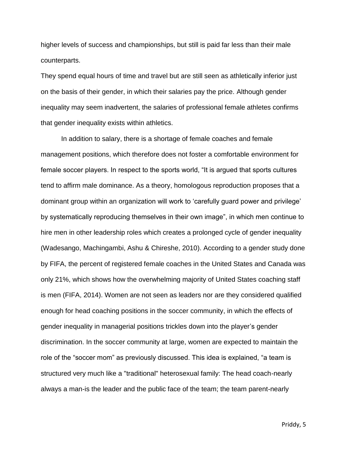higher levels of success and championships, but still is paid far less than their male counterparts.

They spend equal hours of time and travel but are still seen as athletically inferior just on the basis of their gender, in which their salaries pay the price. Although gender inequality may seem inadvertent, the salaries of professional female athletes confirms that gender inequality exists within athletics.

In addition to salary, there is a shortage of female coaches and female management positions, which therefore does not foster a comfortable environment for female soccer players. In respect to the sports world, "It is argued that sports cultures tend to affirm male dominance. As a theory, homologous reproduction proposes that a dominant group within an organization will work to 'carefully guard power and privilege' by systematically reproducing themselves in their own image", in which men continue to hire men in other leadership roles which creates a prolonged cycle of gender inequality (Wadesango, Machingambi, Ashu & Chireshe, 2010). According to a gender study done by FIFA, the percent of registered female coaches in the United States and Canada was only 21%, which shows how the overwhelming majority of United States coaching staff is men (FIFA, 2014). Women are not seen as leaders nor are they considered qualified enough for head coaching positions in the soccer community, in which the effects of gender inequality in managerial positions trickles down into the player's gender discrimination. In the soccer community at large, women are expected to maintain the role of the "soccer mom" as previously discussed. This idea is explained, "a team is structured very much like a "traditional" heterosexual family: The head coach-nearly always a man-is the leader and the public face of the team; the team parent-nearly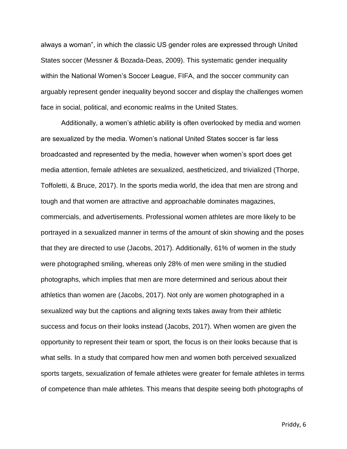always a woman", in which the classic US gender roles are expressed through United States soccer (Messner & Bozada-Deas, 2009). This systematic gender inequality within the National Women's Soccer League, FIFA, and the soccer community can arguably represent gender inequality beyond soccer and display the challenges women face in social, political, and economic realms in the United States.

Additionally, a women's athletic ability is often overlooked by media and women are sexualized by the media. Women's national United States soccer is far less broadcasted and represented by the media, however when women's sport does get media attention, female athletes are sexualized, aestheticized, and trivialized (Thorpe, Toffoletti, & Bruce, 2017). In the sports media world, the idea that men are strong and tough and that women are attractive and approachable dominates magazines, commercials, and advertisements. Professional women athletes are more likely to be portrayed in a sexualized manner in terms of the amount of skin showing and the poses that they are directed to use (Jacobs, 2017). Additionally, 61% of women in the study were photographed smiling, whereas only 28% of men were smiling in the studied photographs, which implies that men are more determined and serious about their athletics than women are (Jacobs, 2017). Not only are women photographed in a sexualized way but the captions and aligning texts takes away from their athletic success and focus on their looks instead (Jacobs, 2017). When women are given the opportunity to represent their team or sport, the focus is on their looks because that is what sells. In a study that compared how men and women both perceived sexualized sports targets, sexualization of female athletes were greater for female athletes in terms of competence than male athletes. This means that despite seeing both photographs of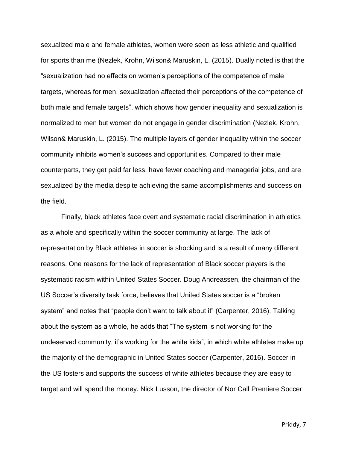sexualized male and female athletes, women were seen as less athletic and qualified for sports than me (Nezlek, Krohn, Wilson& Maruskin, L. (2015). Dually noted is that the "sexualization had no effects on women's perceptions of the competence of male targets, whereas for men, sexualization affected their perceptions of the competence of both male and female targets", which shows how gender inequality and sexualization is normalized to men but women do not engage in gender discrimination (Nezlek, Krohn, Wilson& Maruskin, L. (2015). The multiple layers of gender inequality within the soccer community inhibits women's success and opportunities. Compared to their male counterparts, they get paid far less, have fewer coaching and managerial jobs, and are sexualized by the media despite achieving the same accomplishments and success on the field.

Finally, black athletes face overt and systematic racial discrimination in athletics as a whole and specifically within the soccer community at large. The lack of representation by Black athletes in soccer is shocking and is a result of many different reasons. One reasons for the lack of representation of Black soccer players is the systematic racism within United States Soccer. Doug Andreassen, the chairman of the US Soccer's diversity task force, believes that United States soccer is a "broken system" and notes that "people don't want to talk about it" (Carpenter, 2016). Talking about the system as a whole, he adds that "The system is not working for the undeserved community, it's working for the white kids", in which white athletes make up the majority of the demographic in United States soccer (Carpenter, 2016). Soccer in the US fosters and supports the success of white athletes because they are easy to target and will spend the money. Nick Lusson, the director of Nor Call Premiere Soccer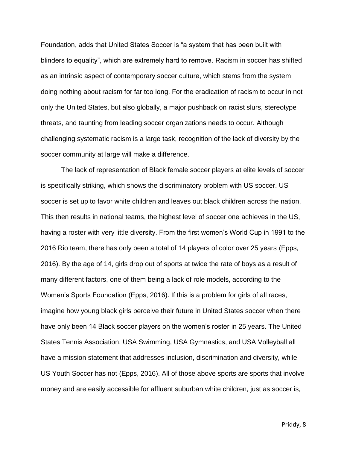Foundation, adds that United States Soccer is "a system that has been built with blinders to equality", which are extremely hard to remove. Racism in soccer has shifted as an intrinsic aspect of contemporary soccer culture, which stems from the system doing nothing about racism for far too long. For the eradication of racism to occur in not only the United States, but also globally, a major pushback on racist slurs, stereotype threats, and taunting from leading soccer organizations needs to occur. Although challenging systematic racism is a large task, recognition of the lack of diversity by the soccer community at large will make a difference.

The lack of representation of Black female soccer players at elite levels of soccer is specifically striking, which shows the discriminatory problem with US soccer. US soccer is set up to favor white children and leaves out black children across the nation. This then results in national teams, the highest level of soccer one achieves in the US, having a roster with very little diversity. From the first women's World Cup in 1991 to the 2016 Rio team, there has only been a total of 14 players of color over 25 years (Epps, 2016). By the age of 14, girls drop out of sports at twice the rate of boys as a result of many different factors, one of them being a lack of role models, according to the Women's Sports Foundation (Epps, 2016). If this is a problem for girls of all races, imagine how young black girls perceive their future in United States soccer when there have only been 14 Black soccer players on the women's roster in 25 years. The United States Tennis Association, USA Swimming, USA Gymnastics, and USA Volleyball all have a mission statement that addresses inclusion, discrimination and diversity, while US Youth Soccer has not (Epps, 2016). All of those above sports are sports that involve money and are easily accessible for affluent suburban white children, just as soccer is,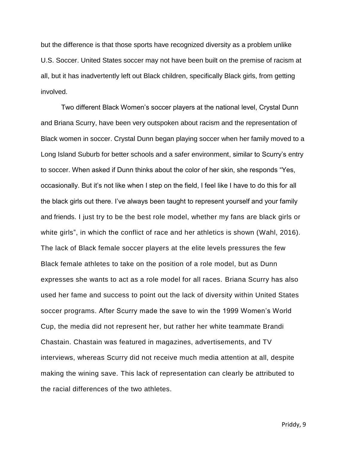but the difference is that those sports have recognized diversity as a problem unlike U.S. Soccer. United States soccer may not have been built on the premise of racism at all, but it has inadvertently left out Black children, specifically Black girls, from getting involved.

Two different Black Women's soccer players at the national level, Crystal Dunn and Briana Scurry, have been very outspoken about racism and the representation of Black women in soccer. Crystal Dunn began playing soccer when her family moved to a Long Island Suburb for better schools and a safer environment, similar to Scurry's entry to soccer. When asked if Dunn thinks about the color of her skin, she responds "Yes, occasionally. But it's not like when I step on the field, I feel like I have to do this for all the black girls out there. I've always been taught to represent yourself and your family and friends. I just try to be the best role model, whether my fans are black girls or white girls", in which the conflict of race and her athletics is shown (Wahl, 2016). The lack of Black female soccer players at the elite levels pressures the few Black female athletes to take on the position of a role model, but as Dunn expresses she wants to act as a role model for all races. Briana Scurry has also used her fame and success to point out the lack of diversity within United States soccer programs. After Scurry made the save to win the 1999 Women's World Cup, the media did not represent her, but rather her white teammate Brandi Chastain. Chastain was featured in magazines, advertisements, and TV interviews, whereas Scurry did not receive much media attention at all, despite making the wining save. This lack of representation can clearly be attributed to the racial differences of the two athletes.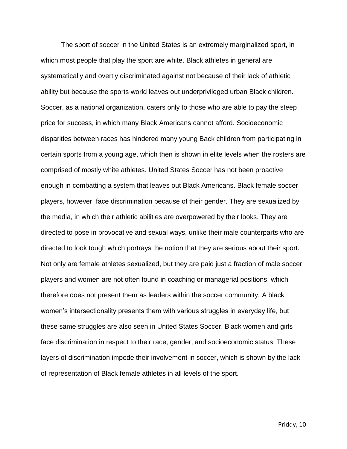The sport of soccer in the United States is an extremely marginalized sport, in which most people that play the sport are white. Black athletes in general are systematically and overtly discriminated against not because of their lack of athletic ability but because the sports world leaves out underprivileged urban Black children. Soccer, as a national organization, caters only to those who are able to pay the steep price for success, in which many Black Americans cannot afford. Socioeconomic disparities between races has hindered many young Back children from participating in certain sports from a young age, which then is shown in elite levels when the rosters are comprised of mostly white athletes. United States Soccer has not been proactive enough in combatting a system that leaves out Black Americans. Black female soccer players, however, face discrimination because of their gender. They are sexualized by the media, in which their athletic abilities are overpowered by their looks. They are directed to pose in provocative and sexual ways, unlike their male counterparts who are directed to look tough which portrays the notion that they are serious about their sport. Not only are female athletes sexualized, but they are paid just a fraction of male soccer players and women are not often found in coaching or managerial positions, which therefore does not present them as leaders within the soccer community. A black women's intersectionality presents them with various struggles in everyday life, but these same struggles are also seen in United States Soccer. Black women and girls face discrimination in respect to their race, gender, and socioeconomic status. These layers of discrimination impede their involvement in soccer, which is shown by the lack of representation of Black female athletes in all levels of the sport.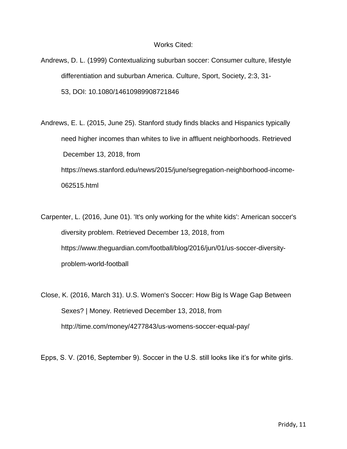## Works Cited:

- Andrews, D. L. (1999) Contextualizing suburban soccer: Consumer culture, lifestyle differentiation and suburban America. Culture, Sport, Society, 2:3, 31- 53, DOI: [10.1080/14610989908721846](https://doi.org/10.1080/14610989908721846)
- Andrews, E. L. (2015, June 25). Stanford study finds blacks and Hispanics typically need higher incomes than whites to live in affluent neighborhoods. Retrieved December 13, 2018, from https://news.stanford.edu/news/2015/june/segregation-neighborhood-income-062515.html
- Carpenter, L. (2016, June 01). 'It's only working for the white kids': American soccer's diversity problem. Retrieved December 13, 2018, from https://www.theguardian.com/football/blog/2016/jun/01/us-soccer-diversityproblem-world-football
- Close, K. (2016, March 31). U.S. Women's Soccer: How Big Is Wage Gap Between Sexes? | Money. Retrieved December 13, 2018, from <http://time.com/money/4277843/us-womens-soccer-equal-pay/>

Epps, S. V. (2016, September 9). Soccer in the U.S. still looks like it's for white girls.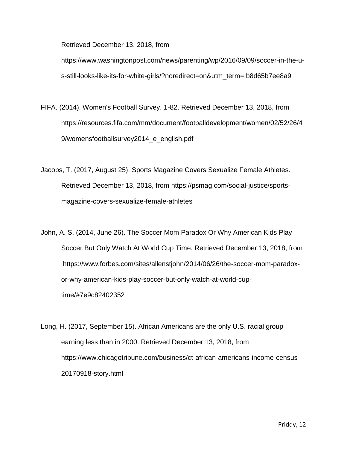Retrieved December 13, 2018, from

[https://www.washingtonpost.com/news/parenting/wp/2016/09/09/soccer-in-the-u](https://www.washingtonpost.com/news/parenting/wp/2016/09/09/soccer-in-the-u-s-still-looks-like-its-for-white-girls/?noredirect=on&utm_term=.b8d65b7ee8a9)[s-still-looks-like-its-for-white-girls/?noredirect=on&utm\\_term=.b8d65b7ee8a9](https://www.washingtonpost.com/news/parenting/wp/2016/09/09/soccer-in-the-u-s-still-looks-like-its-for-white-girls/?noredirect=on&utm_term=.b8d65b7ee8a9)

- FIFA. (2014). Women's Football Survey. 1-82. Retrieved December 13, 2018, from [https://resources.fifa.com/mm/document/footballdevelopment/women/02/52/26/4](https://resources.fifa.com/mm/document/footballdevelopment/women/02/52/26/49/womensfootballsurvey2014_e_english.pdf) [9/womensfootballsurvey2014\\_e\\_english.pdf](https://resources.fifa.com/mm/document/footballdevelopment/women/02/52/26/49/womensfootballsurvey2014_e_english.pdf)
- Jacobs, T. (2017, August 25). Sports Magazine Covers Sexualize Female Athletes. Retrieved December 13, 2018, from [https://psmag.com/social-justice/sports](https://psmag.com/social-justice/sports-)magazine-covers-sexualize-female-athletes
- John, A. S. (2014, June 26). The Soccer Mom Paradox Or Why American Kids Play Soccer But Only Watch At World Cup Time. Retrieved December 13, 2018, from [https://www.forbes.com/sites/allenstjohn/2014/06/26/the-soccer-mom-paradox](ttps://www.forbes.com/sites/allenstjohn/2014/06/26/the-soccer-mom-paradox-o)[or](ttps://www.forbes.com/sites/allenstjohn/2014/06/26/the-soccer-mom-paradox-o)-why-american-kids-play-soccer-but-only-watch-at-world-cuptime/#7e9c82402352
- Long, H. (2017, September 15). African Americans are the only U.S. racial group earning less than in 2000. Retrieved December 13, 2018, from https://www.chicagotribune.com/business/ct-african-americans-income-census-20170918-story.html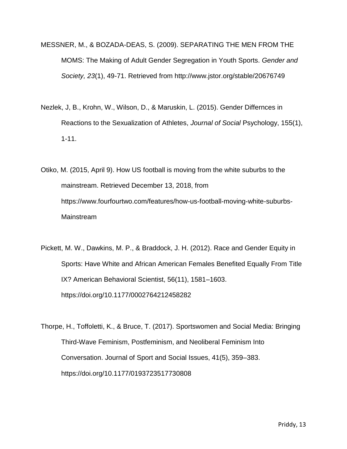- MESSNER, M., & BOZADA-DEAS, S. (2009). SEPARATING THE MEN FROM THE MOMS: The Making of Adult Gender Segregation in Youth Sports. *Gender and Society, 23*(1), 49-71. Retrieved from<http://www.jstor.org/stable/20676749>
- Nezlek, J, B., Krohn, W., Wilson, D., & Maruskin, L. (2015). Gender Differnces in Reactions to the Sexualization of Athletes, *Journal of Social* Psychology, 155(1), 1-11.
- Otiko, M. (2015, April 9). How US football is moving from the white suburbs to the mainstream. Retrieved December 13, 2018, from https://www.fourfourtwo.com/features/how-us-football-moving-white-suburbs-Mainstream
- Pickett, M. W., Dawkins, M. P., & Braddock, J. H. (2012). Race and Gender Equity in Sports: Have White and African American Females Benefited Equally From Title IX? American Behavioral Scientist, 56(11), 1581–1603. https://doi.org/10.1177/0002764212458282
- Thorpe, H., Toffoletti, K., & Bruce, T. (2017). Sportswomen and Social Media: Bringing Third-Wave Feminism, Postfeminism, and Neoliberal Feminism Into Conversation. Journal of Sport and Social Issues, 41(5), 359–383. https://doi.org/10.1177/0193723517730808